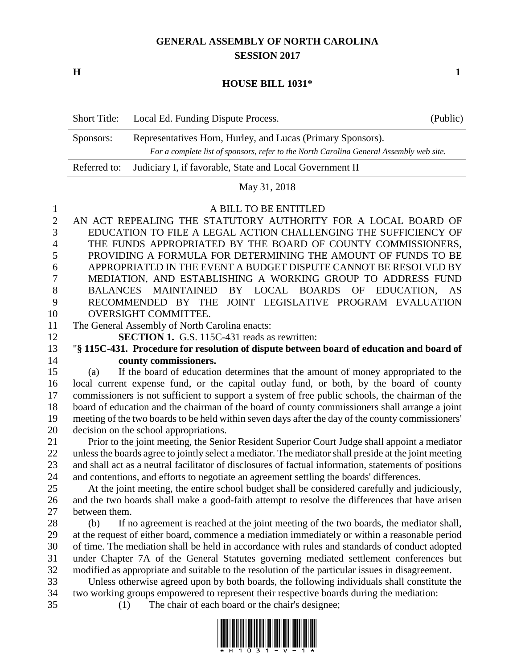## **GENERAL ASSEMBLY OF NORTH CAROLINA SESSION 2017**

**H 1**

**HOUSE BILL 1031\***

|              | Short Title: Local Ed. Funding Dispute Process.                                                                                                        | (Public) |
|--------------|--------------------------------------------------------------------------------------------------------------------------------------------------------|----------|
| Sponsors:    | Representatives Horn, Hurley, and Lucas (Primary Sponsors).<br>For a complete list of sponsors, refer to the North Carolina General Assembly web site. |          |
| Referred to: | Judiciary I, if favorable, State and Local Government II                                                                                               |          |
|              |                                                                                                                                                        |          |

### May 31, 2018

#### A BILL TO BE ENTITLED

 AN ACT REPEALING THE STATUTORY AUTHORITY FOR A LOCAL BOARD OF EDUCATION TO FILE A LEGAL ACTION CHALLENGING THE SUFFICIENCY OF THE FUNDS APPROPRIATED BY THE BOARD OF COUNTY COMMISSIONERS, PROVIDING A FORMULA FOR DETERMINING THE AMOUNT OF FUNDS TO BE APPROPRIATED IN THE EVENT A BUDGET DISPUTE CANNOT BE RESOLVED BY MEDIATION, AND ESTABLISHING A WORKING GROUP TO ADDRESS FUND BALANCES MAINTAINED BY LOCAL BOARDS OF EDUCATION, AS RECOMMENDED BY THE JOINT LEGISLATIVE PROGRAM EVALUATION OVERSIGHT COMMITTEE.

# The General Assembly of North Carolina enacts:

**SECTION 1.** G.S. 115C-431 reads as rewritten:

## "**§ 115C-431. Procedure for resolution of dispute between board of education and board of county commissioners.**

 (a) If the board of education determines that the amount of money appropriated to the local current expense fund, or the capital outlay fund, or both, by the board of county commissioners is not sufficient to support a system of free public schools, the chairman of the board of education and the chairman of the board of county commissioners shall arrange a joint meeting of the two boards to be held within seven days after the day of the county commissioners' decision on the school appropriations.

 Prior to the joint meeting, the Senior Resident Superior Court Judge shall appoint a mediator unless the boards agree to jointly select a mediator. The mediator shall preside at the joint meeting and shall act as a neutral facilitator of disclosures of factual information, statements of positions and contentions, and efforts to negotiate an agreement settling the boards' differences.

 At the joint meeting, the entire school budget shall be considered carefully and judiciously, and the two boards shall make a good-faith attempt to resolve the differences that have arisen between them.

 (b) If no agreement is reached at the joint meeting of the two boards, the mediator shall, at the request of either board, commence a mediation immediately or within a reasonable period of time. The mediation shall be held in accordance with rules and standards of conduct adopted under Chapter 7A of the General Statutes governing mediated settlement conferences but modified as appropriate and suitable to the resolution of the particular issues in disagreement.

 Unless otherwise agreed upon by both boards, the following individuals shall constitute the two working groups empowered to represent their respective boards during the mediation: (1) The chair of each board or the chair's designee;

<u>\* HETHER THE HITLE THE HITLE HITLE HITLE HETHER THE HITLE T</u>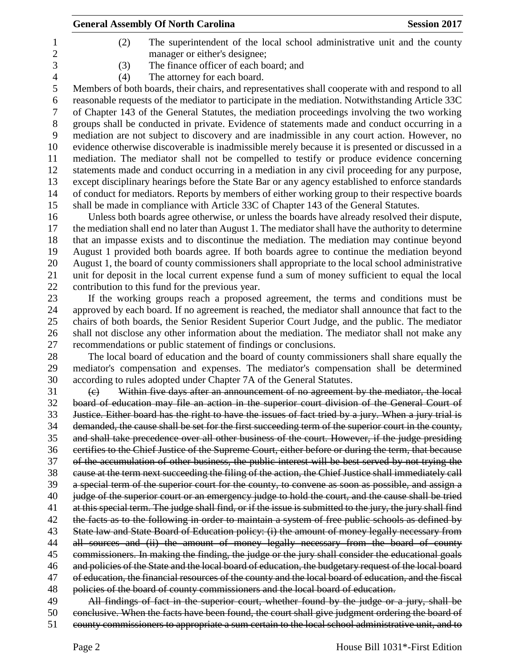|                | <b>General Assembly Of North Carolina</b>                                                                                                                                                                                                                                                        | <b>Session 2017</b> |
|----------------|--------------------------------------------------------------------------------------------------------------------------------------------------------------------------------------------------------------------------------------------------------------------------------------------------|---------------------|
| 1              | (2)<br>The superintendent of the local school administrative unit and the county                                                                                                                                                                                                                 |                     |
| $\overline{2}$ | manager or either's designee;                                                                                                                                                                                                                                                                    |                     |
| 3              | (3)<br>The finance officer of each board; and                                                                                                                                                                                                                                                    |                     |
| $\overline{4}$ | The attorney for each board.<br>(4)                                                                                                                                                                                                                                                              |                     |
| 5              | Members of both boards, their chairs, and representatives shall cooperate with and respond to all                                                                                                                                                                                                |                     |
| 6<br>7         | reasonable requests of the mediator to participate in the mediation. Notwithstanding Article 33C<br>of Chapter 143 of the General Statutes, the mediation proceedings involving the two working                                                                                                  |                     |
| 8<br>9<br>10   | groups shall be conducted in private. Evidence of statements made and conduct occurring in a<br>mediation are not subject to discovery and are inadmissible in any court action. However, no<br>evidence otherwise discoverable is inadmissible merely because it is presented or discussed in a |                     |
| 11<br>12       | mediation. The mediator shall not be compelled to testify or produce evidence concerning<br>statements made and conduct occurring in a mediation in any civil proceeding for any purpose,                                                                                                        |                     |
| 13             | except disciplinary hearings before the State Bar or any agency established to enforce standards                                                                                                                                                                                                 |                     |
| 14             | of conduct for mediators. Reports by members of either working group to their respective boards                                                                                                                                                                                                  |                     |
| 15             | shall be made in compliance with Article 33C of Chapter 143 of the General Statutes.                                                                                                                                                                                                             |                     |
| 16             | Unless both boards agree otherwise, or unless the boards have already resolved their dispute,                                                                                                                                                                                                    |                     |
| 17             | the mediation shall end no later than August 1. The mediator shall have the authority to determine                                                                                                                                                                                               |                     |
| 18             | that an impasse exists and to discontinue the mediation. The mediation may continue beyond                                                                                                                                                                                                       |                     |
| 19             | August 1 provided both boards agree. If both boards agree to continue the mediation beyond                                                                                                                                                                                                       |                     |
| 20             | August 1, the board of county commissioners shall appropriate to the local school administrative                                                                                                                                                                                                 |                     |
| 21             | unit for deposit in the local current expense fund a sum of money sufficient to equal the local                                                                                                                                                                                                  |                     |
| 22             | contribution to this fund for the previous year.                                                                                                                                                                                                                                                 |                     |
| 23             | If the working groups reach a proposed agreement, the terms and conditions must be                                                                                                                                                                                                               |                     |
| 24             | approved by each board. If no agreement is reached, the mediator shall announce that fact to the                                                                                                                                                                                                 |                     |
| 25             | chairs of both boards, the Senior Resident Superior Court Judge, and the public. The mediator                                                                                                                                                                                                    |                     |
| 26             | shall not disclose any other information about the mediation. The mediator shall not make any                                                                                                                                                                                                    |                     |
| 27             | recommendations or public statement of findings or conclusions.                                                                                                                                                                                                                                  |                     |
| 28             | The local board of education and the board of county commissioners shall share equally the                                                                                                                                                                                                       |                     |
| 29             | mediator's compensation and expenses. The mediator's compensation shall be determined                                                                                                                                                                                                            |                     |
| 30             | according to rules adopted under Chapter 7A of the General Statutes.                                                                                                                                                                                                                             |                     |
| 31             | Within five days after an announcement of no agreement by the mediator, the local<br>$\left(\mathrm{e}\right)$                                                                                                                                                                                   |                     |
| 32<br>33       | board of education may file an action in the superior court division of the General Court of<br>Justice. Either board has the right to have the issues of fact tried by a jury. When a jury trial is                                                                                             |                     |
| 34             | demanded, the cause shall be set for the first succeeding term of the superior court in the county,                                                                                                                                                                                              |                     |
| 35             | and shall take precedence over all other business of the court. However, if the judge presiding                                                                                                                                                                                                  |                     |
| 36             | certifies to the Chief Justice of the Supreme Court, either before or during the term, that because                                                                                                                                                                                              |                     |
| 37             | of the accumulation of other business, the public interest will be best served by not trying the                                                                                                                                                                                                 |                     |
| 38             | cause at the term next succeeding the filing of the action, the Chief Justice shall immediately call                                                                                                                                                                                             |                     |
| 39             | a special term of the superior court for the county, to convene as soon as possible, and assign a                                                                                                                                                                                                |                     |
| 40             | judge of the superior court or an emergency judge to hold the court, and the cause shall be tried                                                                                                                                                                                                |                     |
| 41             | at this special term. The judge shall find, or if the issue is submitted to the jury, the jury shall find                                                                                                                                                                                        |                     |
| 42             | the facts as to the following in order to maintain a system of free public schools as defined by                                                                                                                                                                                                 |                     |
| 43             | State law and State Board of Education policy: (i) the amount of money legally necessary from                                                                                                                                                                                                    |                     |
| 44             | all sources and (ii) the amount of money legally necessary from the board of county                                                                                                                                                                                                              |                     |
| 45             | commissioners. In making the finding, the judge or the jury shall consider the educational goals                                                                                                                                                                                                 |                     |
| 46             | and policies of the State and the local board of education, the budgetary request of the local board                                                                                                                                                                                             |                     |
| 47             | of education, the financial resources of the county and the local board of education, and the fiscal                                                                                                                                                                                             |                     |
| 48             | policies of the board of county commissioners and the local board of education.                                                                                                                                                                                                                  |                     |
| 49             | All findings of fact in the superior court, whether found by the judge or a jury, shall be                                                                                                                                                                                                       |                     |
| 50             | conclusive. When the facts have been found, the court shall give judgment ordering the board of                                                                                                                                                                                                  |                     |
| 51             | county commissioners to appropriate a sum certain to the local school administrative unit, and to                                                                                                                                                                                                |                     |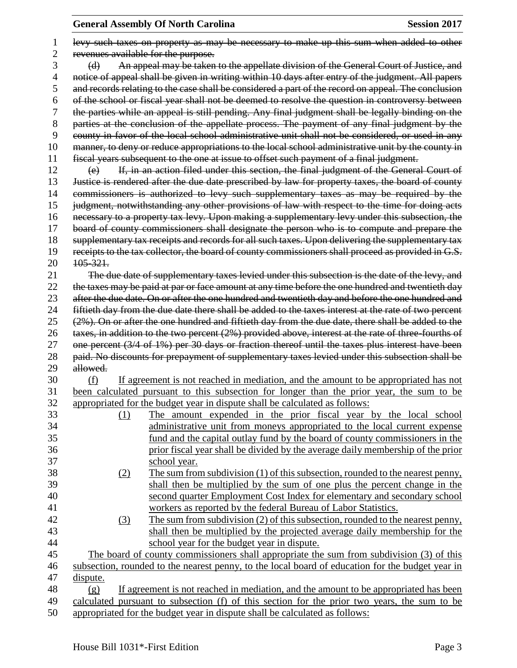| 1  | levy such taxes on property as may be necessary to make up this sum when added to other                                                                                                     |
|----|---------------------------------------------------------------------------------------------------------------------------------------------------------------------------------------------|
| 2  | revenues available for the purpose.                                                                                                                                                         |
| 3  | An appeal may be taken to the appellate division of the General Court of Justice, and<br>(d)                                                                                                |
| 4  | notice of appeal shall be given in writing within 10 days after entry of the judgment. All papers                                                                                           |
| 5  | and records relating to the case shall be considered a part of the record on appeal. The conclusion                                                                                         |
| 6  | of the school or fiscal year shall not be deemed to resolve the question in controversy between                                                                                             |
| 7  | the parties while an appeal is still pending. Any final judgment shall be legally binding on the                                                                                            |
| 8  | parties at the conclusion of the appellate process. The payment of any final judgment by the                                                                                                |
| 9  | county in favor of the local school administrative unit shall not be considered, or used in any                                                                                             |
| 10 | manner, to deny or reduce appropriations to the local school administrative unit by the county in                                                                                           |
| 11 | fiscal years subsequent to the one at issue to offset such payment of a final judgment.                                                                                                     |
| 12 | If, in an action filed under this section, the final judgment of the General Court of<br>(e)                                                                                                |
| 13 | Justice is rendered after the due date prescribed by law for property taxes, the board of county                                                                                            |
| 14 | commissioners is authorized to levy such supplementary taxes as may be required by the                                                                                                      |
| 15 | judgment, notwithstanding any other provisions of law with respect to the time for doing acts                                                                                               |
| 16 | necessary to a property tax levy. Upon making a supplementary levy under this subsection, the                                                                                               |
| 17 | board of county commissioners shall designate the person who is to compute and prepare the                                                                                                  |
| 18 | supplementary tax receipts and records for all such taxes. Upon delivering the supplementary tax                                                                                            |
| 19 | receipts to the tax collector, the board of county commissioners shall proceed as provided in G.S.                                                                                          |
| 20 | $105 - 321$ .                                                                                                                                                                               |
| 21 | The due date of supplementary taxes levied under this subsection is the date of the levy, and                                                                                               |
| 22 | the taxes may be paid at par or face amount at any time before the one hundred and twentieth day                                                                                            |
| 23 | after the due date. On or after the one hundred and twentieth day and before the one hundred and                                                                                            |
| 24 | fiftieth day from the due date there shall be added to the taxes interest at the rate of two percent                                                                                        |
| 25 | (2%). On or after the one hundred and fiftieth day from the due date, there shall be added to the                                                                                           |
| 26 | taxes, in addition to the two percent (2%) provided above, interest at the rate of three fourths of                                                                                         |
| 27 | one percent (3/4 of 1%) per 30 days or fraction thereof until the taxes plus interest have been                                                                                             |
| 28 | paid. No discounts for prepayment of supplementary taxes levied under this subsection shall be                                                                                              |
| 29 | allowed.                                                                                                                                                                                    |
| 30 | If agreement is not reached in mediation, and the amount to be appropriated has not<br>(f)                                                                                                  |
| 31 | been calculated pursuant to this subsection for longer than the prior year, the sum to be                                                                                                   |
| 32 | appropriated for the budget year in dispute shall be calculated as follows:                                                                                                                 |
| 33 | The amount expended in the prior fiscal year by the local school<br>$\Omega$                                                                                                                |
| 34 | administrative unit from moneys appropriated to the local current expense                                                                                                                   |
| 35 | fund and the capital outlay fund by the board of county commissioners in the                                                                                                                |
| 36 | prior fiscal year shall be divided by the average daily membership of the prior                                                                                                             |
| 37 | school year.                                                                                                                                                                                |
| 38 | The sum from subdivision (1) of this subsection, rounded to the nearest penny,<br>(2)                                                                                                       |
| 39 | shall then be multiplied by the sum of one plus the percent change in the                                                                                                                   |
| 40 | second quarter Employment Cost Index for elementary and secondary school                                                                                                                    |
| 41 | workers as reported by the federal Bureau of Labor Statistics.                                                                                                                              |
| 42 | (3)<br>The sum from subdivision (2) of this subsection, rounded to the nearest penny,                                                                                                       |
| 43 | shall then be multiplied by the projected average daily membership for the                                                                                                                  |
| 44 | school year for the budget year in dispute.                                                                                                                                                 |
| 45 | The board of county commissioners shall appropriate the sum from subdivision (3) of this                                                                                                    |
| 46 | subsection, rounded to the nearest penny, to the local board of education for the budget year in                                                                                            |
| 47 | dispute.                                                                                                                                                                                    |
| 48 |                                                                                                                                                                                             |
|    |                                                                                                                                                                                             |
| 49 | If agreement is not reached in mediation, and the amount to be appropriated has been<br>(g)<br>calculated pursuant to subsection (f) of this section for the prior two years, the sum to be |